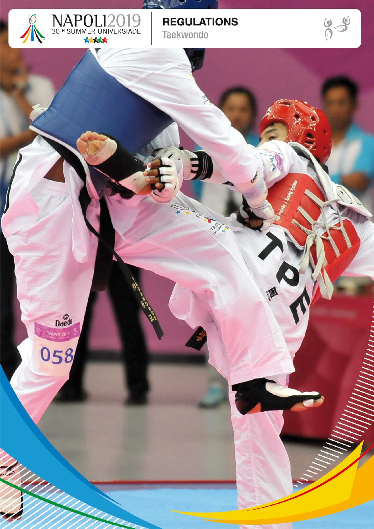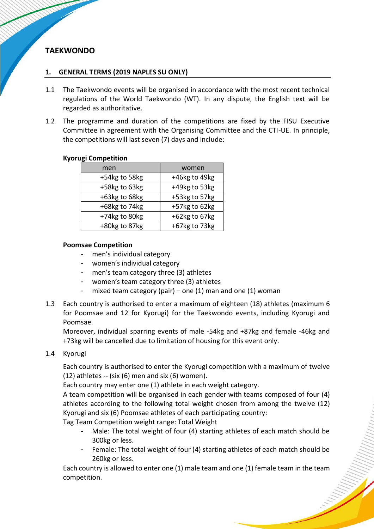# **TAEKWONDO**

### **1. GENERAL TERMS (2019 NAPLES SU ONLY)**

- 1.1 The Taekwondo events will be organised in accordance with the most recent technical regulations of the World Taekwondo (WT). In any dispute, the English text will be regarded as authoritative.
- 1.2 The programme and duration of the competitions are fixed by the FISU Executive Committee in agreement with the Organising Committee and the CTI-UE. In principle, the competitions will last seven (7) days and include:

#### **Kyorugi Competition**

| men           | women         |
|---------------|---------------|
| +54kg to 58kg | +46kg to 49kg |
| +58kg to 63kg | +49kg to 53kg |
| +63kg to 68kg | +53kg to 57kg |
| +68kg to 74kg | +57kg to 62kg |
| +74kg to 80kg | +62kg to 67kg |
| +80kg to 87kg | +67kg to 73kg |

#### **Poomsae Competition**

- men's individual category
- women's individual category
- men's team category three (3) athletes
- women's team category three (3) athletes
- mixed team category (pair) one (1) man and one (1) woman
- 1.3 Each country is authorised to enter a maximum of eighteen (18) athletes (maximum 6 for Poomsae and 12 for Kyorugi) for the Taekwondo events, including Kyorugi and Poomsae.

Moreover, individual sparring events of male -54kg and +87kg and female -46kg and +73kg will be cancelled due to limitation of housing for this event only.

1.4 Kyorugi

Each country is authorised to enter the Kyorugi competition with a maximum of twelve  $(12)$  athletes -- (six  $(6)$  men and six  $(6)$  women).

Each country may enter one (1) athlete in each weight category.

A team competition will be organised in each gender with teams composed of four (4) athletes according to the following total weight chosen from among the twelve (12) Kyorugi and six (6) Poomsae athletes of each participating country:

Tag Team Competition weight range: Total Weight

- Male: The total weight of four (4) starting athletes of each match should be 300kg or less.
- Female: The total weight of four (4) starting athletes of each match should be 260kg or less.

Each country is allowed to enter one (1) male team and one (1) female team in the team competition.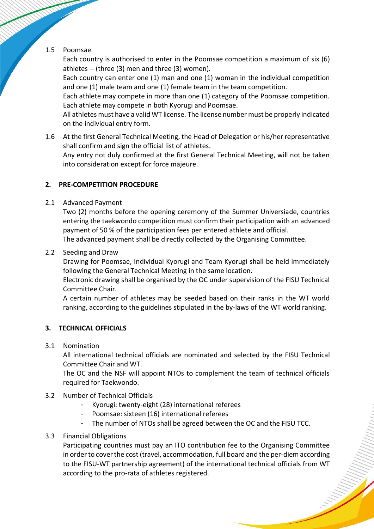# 1.5 Poomsae

Each country is authorised to enter in the Poomsae competition a maximum of six (6) athletes -- (three (3) men and three (3) women).

Each country can enter one (1) man and one (1) woman in the individual competition and one (1) male team and one (1) female team in the team competition.

Each athlete may compete in more than one (1) category of the Poomsae competition. Each athlete may compete in both Kyorugi and Poomsae.

All athletes must have a valid WT license. The license number must be properly indicated on the individual entry form.

1.6 At the first General Technical Meeting, the Head of Delegation or his/her representative shall confirm and sign the official list of athletes.

Any entry not duly confirmed at the first General Technical Meeting, will not be taken into consideration except for force majeure.

# **2. PRE-COMPETITION PROCEDURE**

2.1 Advanced Payment

Two (2) months before the opening ceremony of the Summer Universiade, countries entering the taekwondo competition must confirm their participation with an advanced payment of 50 % of the participation fees per entered athlete and official. The advanced payment shall be directly collected by the Organising Committee.

2.2 Seeding and Draw

Drawing for Poomsae, Individual Kyorugi and Team Kyorugi shall be held immediately following the General Technical Meeting in the same location.

Electronic drawing shall be organised by the OC under supervision of the FISU Technical Committee Chair.

A certain number of athletes may be seeded based on their ranks in the WT world ranking, according to the guidelines stipulated in the by-laws of the WT world ranking.

# **3. TECHNICAL OFFICIALS**

# 3.1 Nomination

All international technical officials are nominated and selected by the FISU Technical Committee Chair and WT.

The OC and the NSF will appoint NTOs to complement the team of technical officials required for Taekwondo.

- 3.2 Number of Technical Officials
	- Kyorugi: twenty-eight (28) international referees
	- Poomsae: sixteen (16) international referees
	- The number of NTOs shall be agreed between the OC and the FISU TCC.
- 3.3 Financial Obligations

Participating countries must pay an ITO contribution fee to the Organising Committee in order to cover the cost (travel, accommodation, full board and the per-diem according to the FISU-WT partnership agreement) of the international technical officials from WT according to the pro-rata of athletes registered.